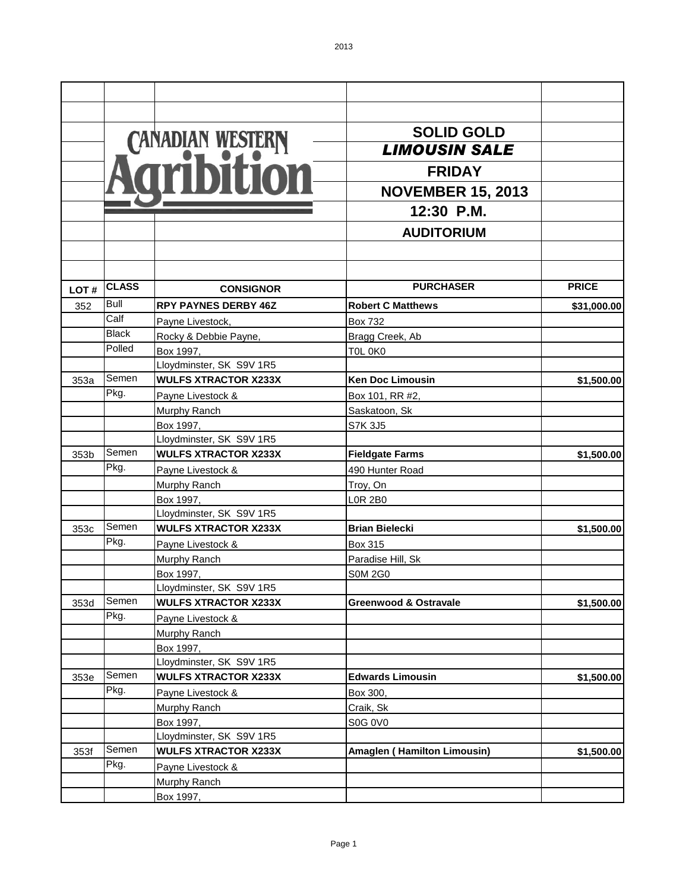|      |                      |                                       | <b>SOLID GOLD</b>                  |              |
|------|----------------------|---------------------------------------|------------------------------------|--------------|
|      |                      |                                       | <b>LIMOUSIN SALE</b>               |              |
|      |                      | CANADIAN WESTERN                      | <b>FRIDAY</b>                      |              |
|      |                      |                                       | <b>NOVEMBER 15, 2013</b>           |              |
|      |                      |                                       | 12:30 P.M.                         |              |
|      |                      |                                       |                                    |              |
|      |                      |                                       | <b>AUDITORIUM</b>                  |              |
|      |                      |                                       |                                    |              |
|      |                      |                                       |                                    |              |
| LOT# | <b>CLASS</b>         | <b>CONSIGNOR</b>                      | <b>PURCHASER</b>                   | <b>PRICE</b> |
| 352  | <b>Bull</b>          | <b>RPY PAYNES DERBY 46Z</b>           | <b>Robert C Matthews</b>           | \$31,000.00  |
|      | Calf<br><b>Black</b> | Payne Livestock,                      | <b>Box 732</b>                     |              |
|      | Polled               | Rocky & Debbie Payne,                 | Bragg Creek, Ab                    |              |
|      |                      | Box 1997,                             | TOL OKO                            |              |
|      | Semen                | Lloydminster, SK S9V 1R5              |                                    |              |
| 353a |                      | <b>WULFS XTRACTOR X233X</b>           | <b>Ken Doc Limousin</b>            | \$1,500.00   |
|      | Pkg.                 | Payne Livestock &                     | Box 101, RR #2,                    |              |
|      |                      | Murphy Ranch                          | Saskatoon, Sk                      |              |
|      |                      | Box 1997,                             | <b>S7K 3J5</b>                     |              |
|      |                      | Lloydminster, SK S9V 1R5              |                                    |              |
| 353b | Semen                | <b>WULFS XTRACTOR X233X</b>           | <b>Fieldgate Farms</b>             | \$1,500.00   |
|      | Pkg.                 | Payne Livestock &                     | 490 Hunter Road                    |              |
|      |                      | Murphy Ranch                          | Troy, On                           |              |
|      |                      | Box 1997,                             | <b>LOR 2B0</b>                     |              |
|      |                      | Lloydminster, SK S9V 1R5              |                                    |              |
| 353c | Semen                | <b>WULFS XTRACTOR X233X</b>           | <b>Brian Bielecki</b>              | \$1,500.00   |
|      | Pkg.                 | Payne Livestock &                     | Box 315                            |              |
|      |                      | Murphy Ranch                          | Paradise Hill, Sk                  |              |
|      |                      | Box 1997,                             | <b>S0M 2G0</b>                     |              |
|      | Semen                | Lloydminster, SK S9V 1R5              |                                    |              |
| 353d | Pkg.                 | <b>WULFS XTRACTOR X233X</b>           | <b>Greenwood &amp; Ostravale</b>   | \$1,500.00   |
|      |                      | Payne Livestock &                     |                                    |              |
|      |                      | Murphy Ranch                          |                                    |              |
|      |                      | Box 1997.<br>Lloydminster, SK S9V 1R5 |                                    |              |
| 353e | Semen                | <b>WULFS XTRACTOR X233X</b>           | <b>Edwards Limousin</b>            | \$1,500.00   |
|      | Pkg.                 | Payne Livestock &                     | Box 300,                           |              |
|      |                      | Murphy Ranch                          | Craik, Sk                          |              |
|      |                      | Box 1997,                             | <b>S0G 0V0</b>                     |              |
|      |                      | Lloydminster, SK S9V 1R5              |                                    |              |
| 353f | Semen                | <b>WULFS XTRACTOR X233X</b>           | <b>Amaglen (Hamilton Limousin)</b> | \$1,500.00   |
|      | Pkg.                 | Payne Livestock &                     |                                    |              |
|      |                      | Murphy Ranch                          |                                    |              |
|      |                      | Box 1997,                             |                                    |              |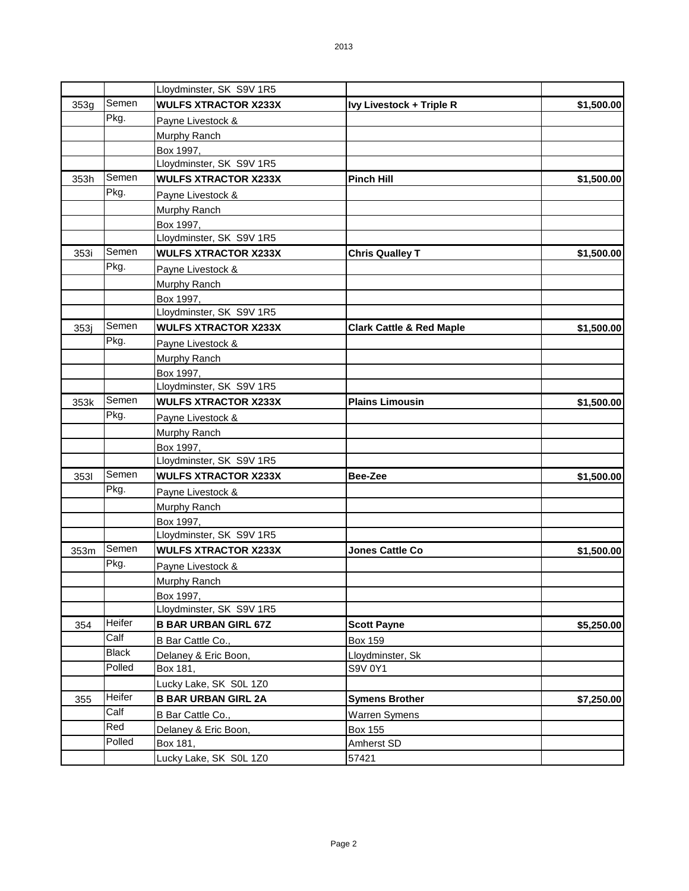|      |              | Lloydminster, SK S9V 1R5    |                                     |            |
|------|--------------|-----------------------------|-------------------------------------|------------|
| 353g | Semen        | <b>WULFS XTRACTOR X233X</b> | Ivy Livestock + Triple R            | \$1,500.00 |
|      | Pkg.         | Payne Livestock &           |                                     |            |
|      |              | Murphy Ranch                |                                     |            |
|      |              | Box 1997,                   |                                     |            |
|      |              | Lloydminster, SK S9V 1R5    |                                     |            |
| 353h | Semen        | <b>WULFS XTRACTOR X233X</b> | <b>Pinch Hill</b>                   | \$1,500.00 |
|      | Pkg.         | Payne Livestock &           |                                     |            |
|      |              | Murphy Ranch                |                                     |            |
|      |              | Box 1997,                   |                                     |            |
|      |              | Lloydminster, SK S9V 1R5    |                                     |            |
| 353i | Semen        | <b>WULFS XTRACTOR X233X</b> | <b>Chris Qualley T</b>              | \$1,500.00 |
|      | Pkg.         | Payne Livestock &           |                                     |            |
|      |              | Murphy Ranch                |                                     |            |
|      |              | Box 1997,                   |                                     |            |
|      |              | Lloydminster, SK S9V 1R5    |                                     |            |
| 353j | Semen        | <b>WULFS XTRACTOR X233X</b> | <b>Clark Cattle &amp; Red Maple</b> | \$1,500.00 |
|      | Pkg.         | Payne Livestock &           |                                     |            |
|      |              | Murphy Ranch                |                                     |            |
|      |              | Box 1997,                   |                                     |            |
|      |              | Lloydminster, SK S9V 1R5    |                                     |            |
| 353k | Semen        | <b>WULFS XTRACTOR X233X</b> | <b>Plains Limousin</b>              | \$1,500.00 |
|      | Pkg.         | Payne Livestock &           |                                     |            |
|      |              | Murphy Ranch                |                                     |            |
|      |              | Box 1997,                   |                                     |            |
|      |              | Lloydminster, SK S9V 1R5    |                                     |            |
| 3531 | Semen        | <b>WULFS XTRACTOR X233X</b> | Bee-Zee                             | \$1,500.00 |
|      | Pkg.         | Payne Livestock &           |                                     |            |
|      |              | Murphy Ranch                |                                     |            |
|      |              | Box 1997,                   |                                     |            |
|      |              | Lloydminster, SK S9V 1R5    |                                     |            |
| 353m | Semen        | <b>WULFS XTRACTOR X233X</b> | <b>Jones Cattle Co</b>              | \$1,500.00 |
|      | Pkg.         | Payne Livestock &           |                                     |            |
|      |              | Murphy Ranch                |                                     |            |
|      |              | Box 1997,                   |                                     |            |
|      |              | Lloydminster, SK S9V 1R5    |                                     |            |
| 354  | Heifer       | <b>B BAR URBAN GIRL 67Z</b> | <b>Scott Payne</b>                  | \$5,250.00 |
|      | Calf         | B Bar Cattle Co.,           | <b>Box 159</b>                      |            |
|      | <b>Black</b> | Delaney & Eric Boon,        | Lloydminster, Sk                    |            |
|      | Polled       | Box 181,                    | S9V 0Y1                             |            |
|      |              | Lucky Lake, SK S0L 1Z0      |                                     |            |
| 355  | Heifer       | <b>B BAR URBAN GIRL 2A</b>  | <b>Symens Brother</b>               | \$7,250.00 |
|      | Calf         | B Bar Cattle Co.,           | Warren Symens                       |            |
|      | Red          | Delaney & Eric Boon,        | Box 155                             |            |
|      | Polled       | Box 181,                    | Amherst SD                          |            |
|      |              | Lucky Lake, SK S0L 1Z0      | 57421                               |            |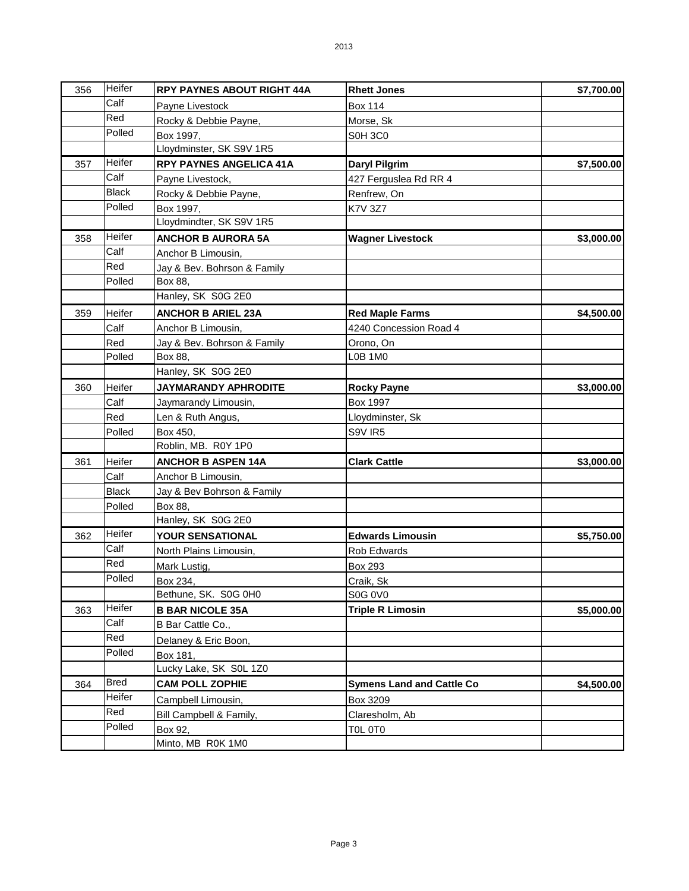| 356 | Heifer       | <b>RPY PAYNES ABOUT RIGHT 44A</b> | <b>Rhett Jones</b>               | \$7,700.00 |
|-----|--------------|-----------------------------------|----------------------------------|------------|
|     | Calf         | Payne Livestock                   | <b>Box 114</b>                   |            |
|     | Red          | Rocky & Debbie Payne,             | Morse, Sk                        |            |
|     | Polled       | Box 1997,                         | <b>S0H 3C0</b>                   |            |
|     |              | Lloydminster, SK S9V 1R5          |                                  |            |
| 357 | Heifer       | <b>RPY PAYNES ANGELICA 41A</b>    | Daryl Pilgrim                    | \$7,500.00 |
|     | Calf         | Payne Livestock,                  | 427 Ferguslea Rd RR 4            |            |
|     | <b>Black</b> | Rocky & Debbie Payne,             | Renfrew, On                      |            |
|     | Polled       | Box 1997,                         | K7V 3Z7                          |            |
|     |              | Lloydmindter, SK S9V 1R5          |                                  |            |
| 358 | Heifer       | <b>ANCHOR B AURORA 5A</b>         | <b>Wagner Livestock</b>          | \$3,000.00 |
|     | Calf         | Anchor B Limousin,                |                                  |            |
|     | Red          | Jay & Bev. Bohrson & Family       |                                  |            |
|     | Polled       | Box 88,                           |                                  |            |
|     |              | Hanley, SK S0G 2E0                |                                  |            |
| 359 | Heifer       | <b>ANCHOR B ARIEL 23A</b>         | <b>Red Maple Farms</b>           | \$4,500.00 |
|     | Calf         | Anchor B Limousin,                | 4240 Concession Road 4           |            |
|     | Red          | Jay & Bev. Bohrson & Family       | Orono, On                        |            |
|     | Polled       | Box 88,                           | L0B 1M0                          |            |
|     |              | Hanley, SK S0G 2E0                |                                  |            |
| 360 | Heifer       | JAYMARANDY APHRODITE              | <b>Rocky Payne</b>               | \$3,000.00 |
|     | Calf         | Jaymarandy Limousin,              | <b>Box 1997</b>                  |            |
|     | Red          | Len & Ruth Angus,                 | Lloydminster, Sk                 |            |
|     | Polled       | Box 450,                          | S9V IR5                          |            |
|     |              | Roblin, MB. R0Y 1P0               |                                  |            |
| 361 | Heifer       | <b>ANCHOR B ASPEN 14A</b>         | <b>Clark Cattle</b>              | \$3,000.00 |
|     | Calf         | Anchor B Limousin,                |                                  |            |
|     | <b>Black</b> | Jay & Bev Bohrson & Family        |                                  |            |
|     | Polled       | Box 88,                           |                                  |            |
|     |              | Hanley, SK S0G 2E0                |                                  |            |
| 362 | Heifer       | YOUR SENSATIONAL                  | <b>Edwards Limousin</b>          | \$5,750.00 |
|     | Calf         | North Plains Limousin,            | Rob Edwards                      |            |
|     | Red          | Mark Lustig,                      | Box 293                          |            |
|     | Polled       | Box 234.                          | Craik, Sk                        |            |
|     |              | Bethune, SK. S0G 0H0              | <b>S0G 0V0</b>                   |            |
| 363 | Heifer       | <b>B BAR NICOLE 35A</b>           | <b>Triple R Limosin</b>          | \$5,000.00 |
|     | Calf         | B Bar Cattle Co.,                 |                                  |            |
|     | <b>Red</b>   | Delaney & Eric Boon,              |                                  |            |
|     | Polled       | Box 181,                          |                                  |            |
|     |              | Lucky Lake, SK S0L 1Z0            |                                  |            |
| 364 | <b>Bred</b>  | <b>CAM POLL ZOPHIE</b>            | <b>Symens Land and Cattle Co</b> | \$4,500.00 |
|     | Heifer       | Campbell Limousin,                | Box 3209                         |            |
|     | Red          | Bill Campbell & Family,           | Claresholm, Ab                   |            |
|     | Polled       | Box 92,                           | TOL OTO                          |            |
|     |              | Minto, MB R0K 1M0                 |                                  |            |